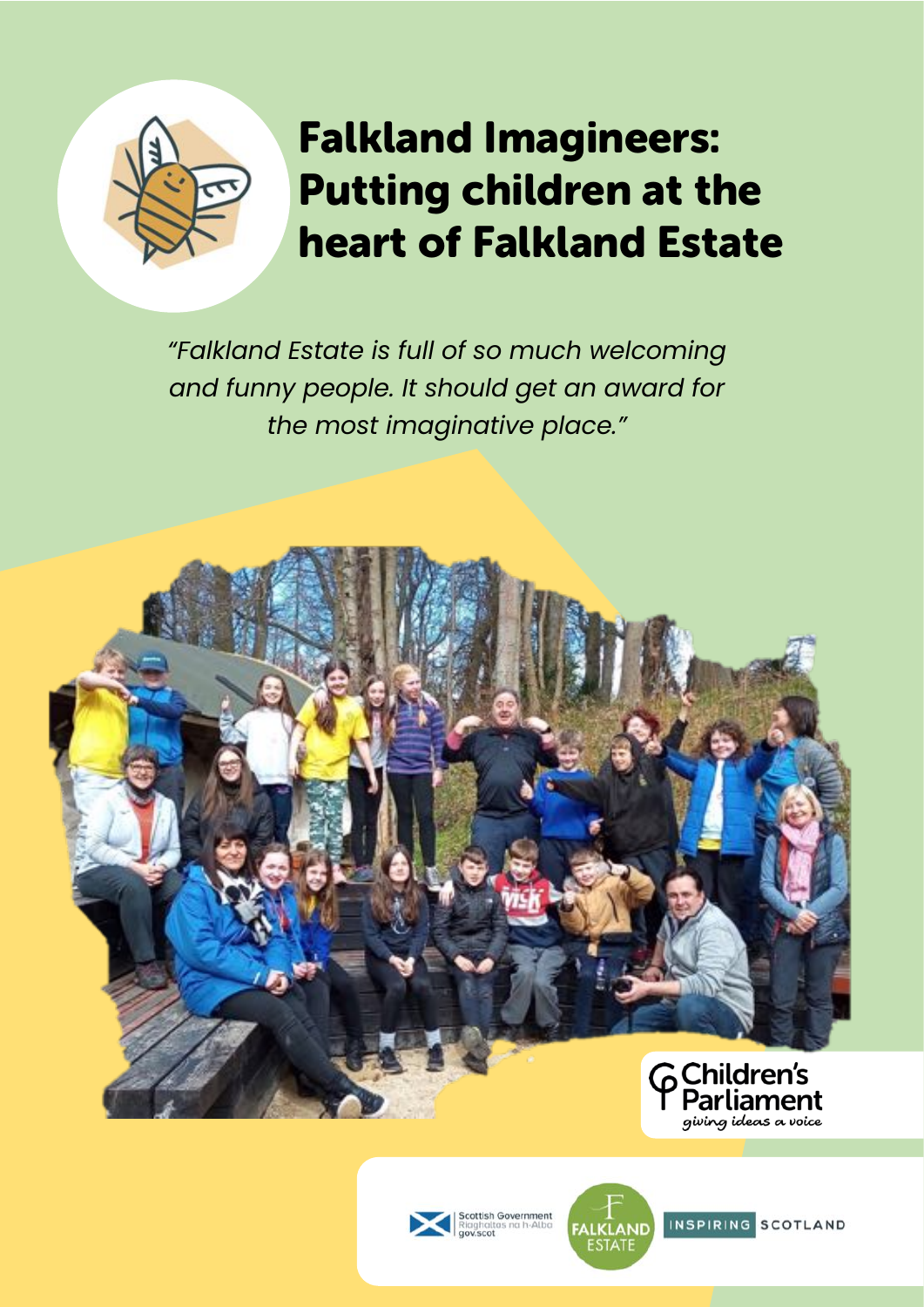

# Falkland Imagineers: Putting children at the heart of Falkland Estate

*"Falkland Estate is full of so much welcoming and funny people. It should get an award for the most imaginative place."*









INSPIRING SCOTLAND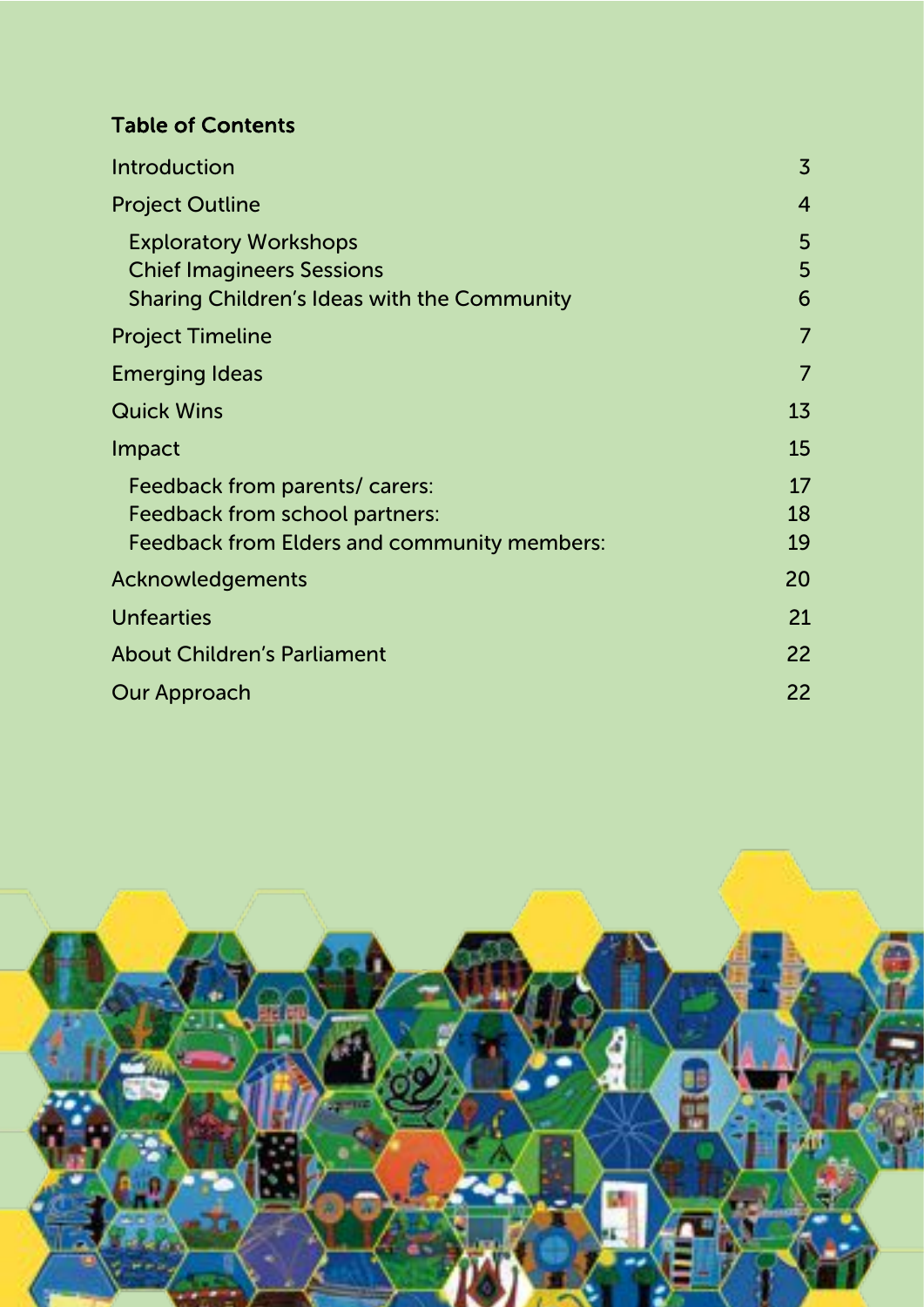#### Table of Contents

| <b>Introduction</b>                                                                                                    | $\overline{3}$ |
|------------------------------------------------------------------------------------------------------------------------|----------------|
| <b>Project Outline</b>                                                                                                 | $\overline{4}$ |
| <b>Exploratory Workshops</b><br><b>Chief Imagineers Sessions</b><br><b>Sharing Children's Ideas with the Community</b> | 5<br>5<br>6    |
| <b>Project Timeline</b>                                                                                                | $\overline{7}$ |
| <b>Emerging Ideas</b>                                                                                                  | $\overline{7}$ |
| <b>Quick Wins</b>                                                                                                      | 13             |
| Impact                                                                                                                 | 15             |
| Feedback from parents/ carers:<br>Feedback from school partners:<br><b>Feedback from Elders and community members:</b> | 17<br>18<br>19 |
| Acknowledgements                                                                                                       | 20             |
| <b>Unfearties</b>                                                                                                      | 21             |
| <b>About Children's Parliament</b>                                                                                     | 22             |
| <b>Our Approach</b>                                                                                                    | 22             |

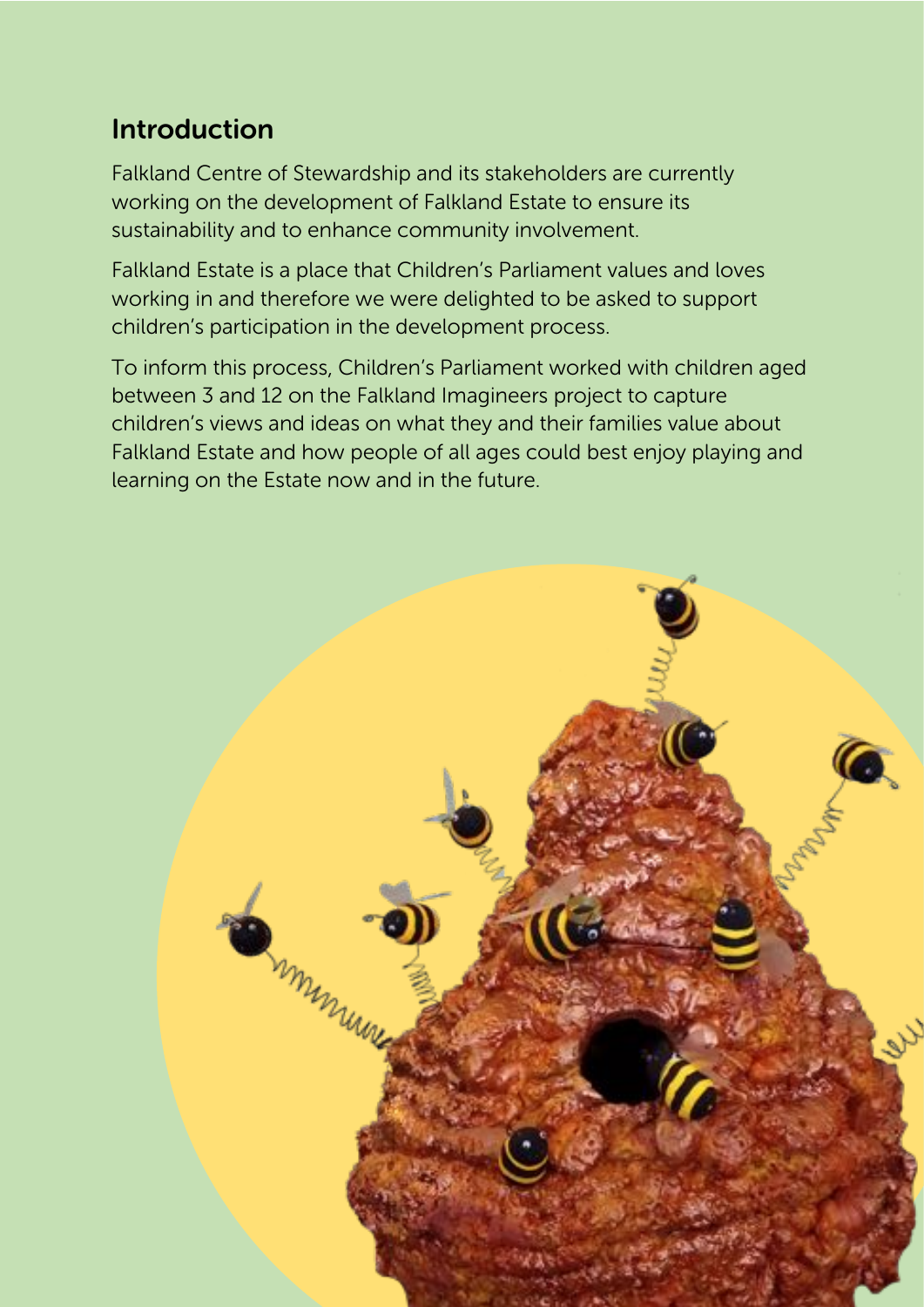### Introduction

Falkland Centre of Stewardship and its stakeholders are currently working on the development of Falkland Estate to ensure its sustainability and to enhance community involvement.

Falkland Estate is a place that Children's Parliament values and loves working in and therefore we were delighted to be asked to support children's participation in the development process.

To inform this process, Children's Parliament worked with children aged between 3 and 12 on the Falkland Imagineers project to capture children's views and ideas on what they and their families value about Falkland Estate and how people of all ages could best enjoy playing and learning on the Estate now and in the future.

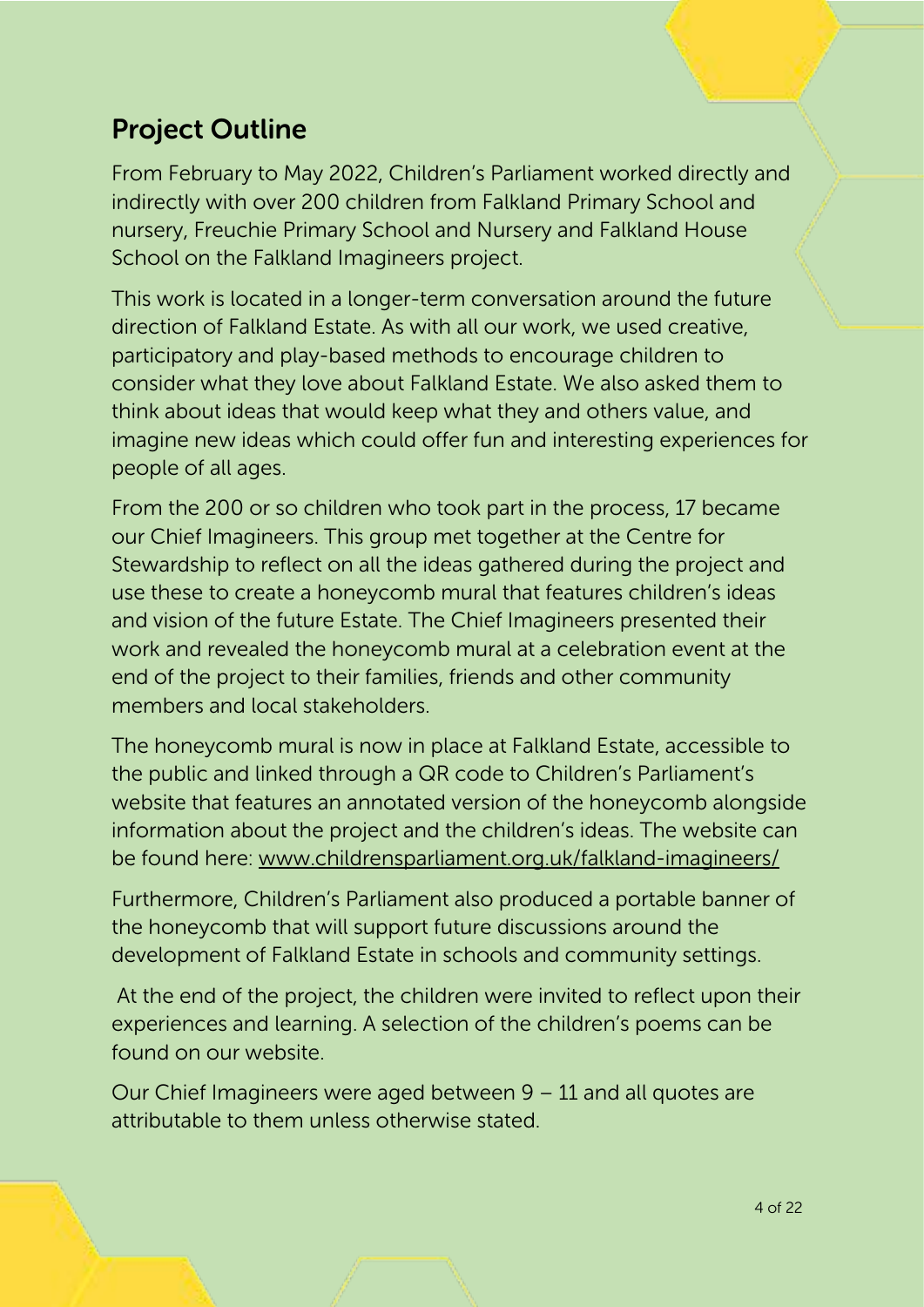### Project Outline

From February to May 2022, Children's Parliament worked directly and indirectly with over 200 children from Falkland Primary School and nursery, Freuchie Primary School and Nursery and Falkland House School on the Falkland Imagineers project.

This work is located in a longer-term conversation around the future direction of Falkland Estate. As with all our work, we used creative, participatory and play-based methods to encourage children to consider what they love about Falkland Estate. We also asked them to think about ideas that would keep what they and others value, and imagine new ideas which could offer fun and interesting experiences for people of all ages.

From the 200 or so children who took part in the process, 17 became our Chief Imagineers. This group met together at the Centre for Stewardship to reflect on all the ideas gathered during the project and use these to create a honeycomb mural that features children's ideas and vision of the future Estate. The Chief Imagineers presented their work and revealed the honeycomb mural at a celebration event at the end of the project to their families, friends and other community members and local stakeholders.

The honeycomb mural is now in place at Falkland Estate, accessible to the public and linked through a QR code to Children's Parliament's website that features an annotated version of the honeycomb alongside information about the project and the children's ideas. The website can be found here: www.childrensparliament.org.uk/falkland-imagineers/

Furthermore, Children's Parliament also produced a portable banner of the honeycomb that will support future discussions around the development of Falkland Estate in schools and community settings.

At the end of the project, the children were invited to reflect upon their experiences and learning. A selection of the children's poems can be found on our website.

Our Chief Imagineers were aged between 9 – 11 and all quotes are attributable to them unless otherwise stated.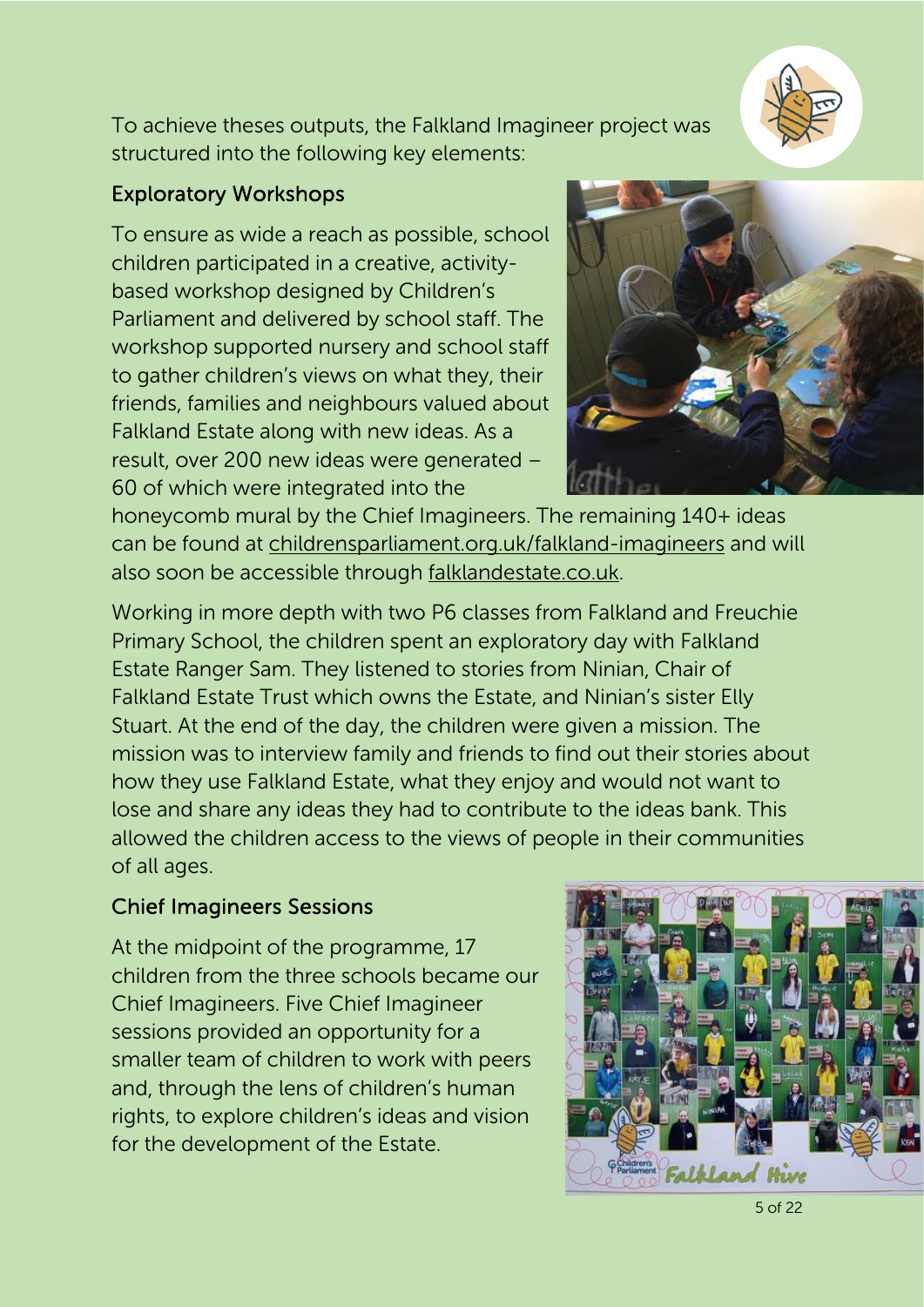

To achieve theses outputs, the Falkland Imagineer project was structured into the following key elements:

#### Exploratory Workshops

To ensure as wide a reach as possible, school children participated in a creative, activitybased workshop designed by Children's Parliament and delivered by school staff. The workshop supported nursery and school staff to gather children's views on what they, their friends, families and neighbours valued about Falkland Estate along with new ideas. As a result, over 200 new ideas were generated – 60 of which were integrated into the



honeycomb mural by the Chief Imagineers. The remaining 140+ ideas can be found at childrensparliament.org.uk/falkland-imagineers and will also soon be accessible through falklandestate.co.uk.

Working in more depth with two P6 classes from Falkland and Freuchie Primary School, the children spent an exploratory day with Falkland Estate Ranger Sam. They listened to stories from Ninian, Chair of Falkland Estate Trust which owns the Estate, and Ninian's sister Elly Stuart. At the end of the day, the children were given a mission. The mission was to interview family and friends to find out their stories about how they use Falkland Estate, what they enjoy and would not want to lose and share any ideas they had to contribute to the ideas bank. This allowed the children access to the views of people in their communities of all ages.

#### Chief Imagineers Sessions

At the midpoint of the programme, 17 children from the three schools became our Chief Imagineers. Five Chief Imagineer sessions provided an opportunity for a smaller team of children to work with peers and, through the lens of children's human rights, to explore children's ideas and vision for the development of the Estate.

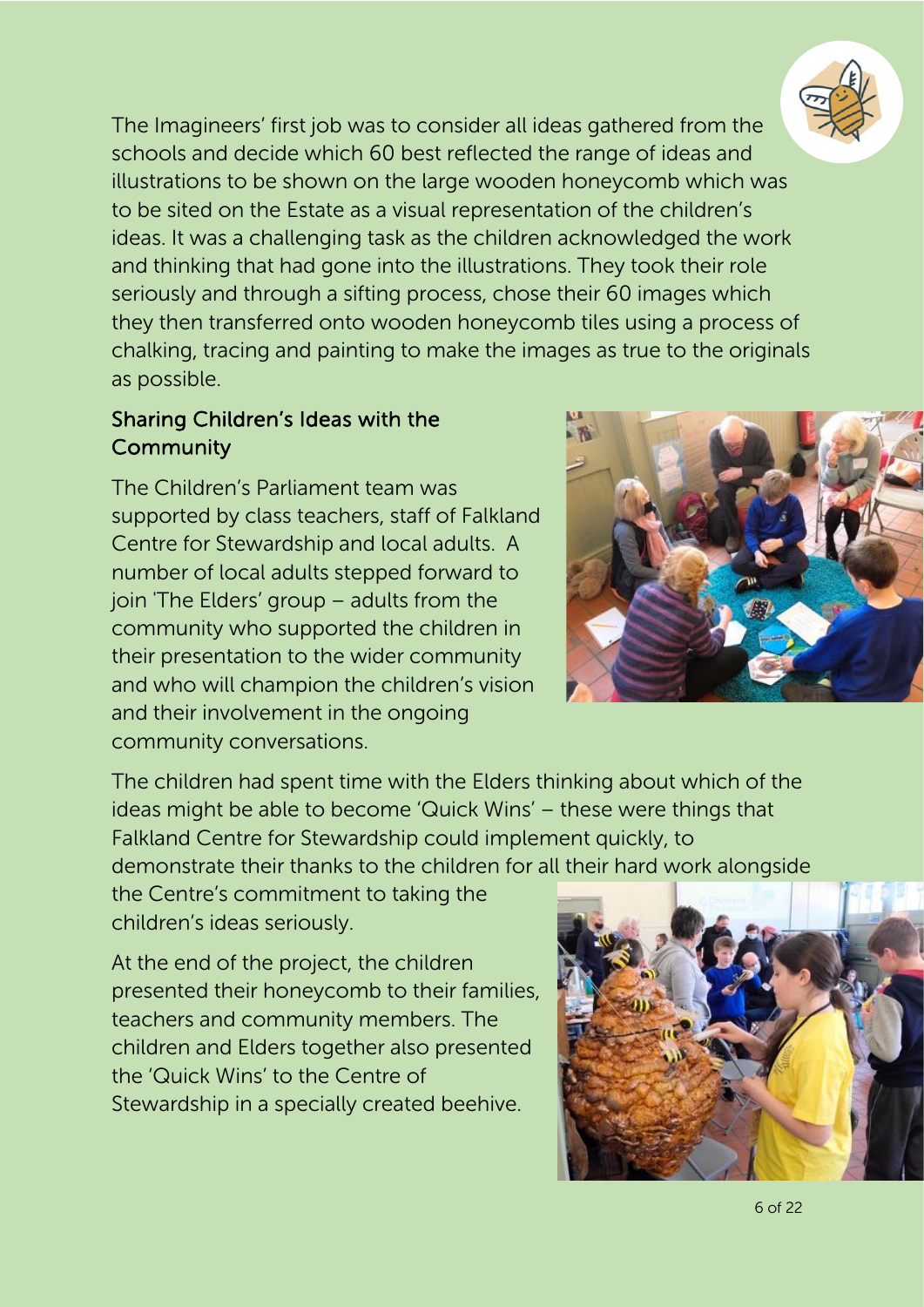

The Imagineers' first job was to consider all ideas gathered from the schools and decide which 60 best reflected the range of ideas and illustrations to be shown on the large wooden honeycomb which was to be sited on the Estate as a visual representation of the children's ideas. It was a challenging task as the children acknowledged the work and thinking that had gone into the illustrations. They took their role seriously and through a sifting process, chose their 60 images which they then transferred onto wooden honeycomb tiles using a process of chalking, tracing and painting to make the images as true to the originals as possible.

#### Sharing Children's Ideas with the **Community**

The Children's Parliament team was supported by class teachers, staff of Falkland Centre for Stewardship and local adults. A number of local adults stepped forward to join 'The Elders' group – adults from the community who supported the children in their presentation to the wider community and who will champion the children's vision and their involvement in the ongoing community conversations.



The children had spent time with the Elders thinking about which of the ideas might be able to become 'Quick Wins' – these were things that Falkland Centre for Stewardship could implement quickly, to demonstrate their thanks to the children for all their hard work alongside

the Centre's commitment to taking the children's ideas seriously.

At the end of the project, the children presented their honeycomb to their families, teachers and community members. The children and Elders together also presented the 'Quick Wins' to the Centre of Stewardship in a specially created beehive.

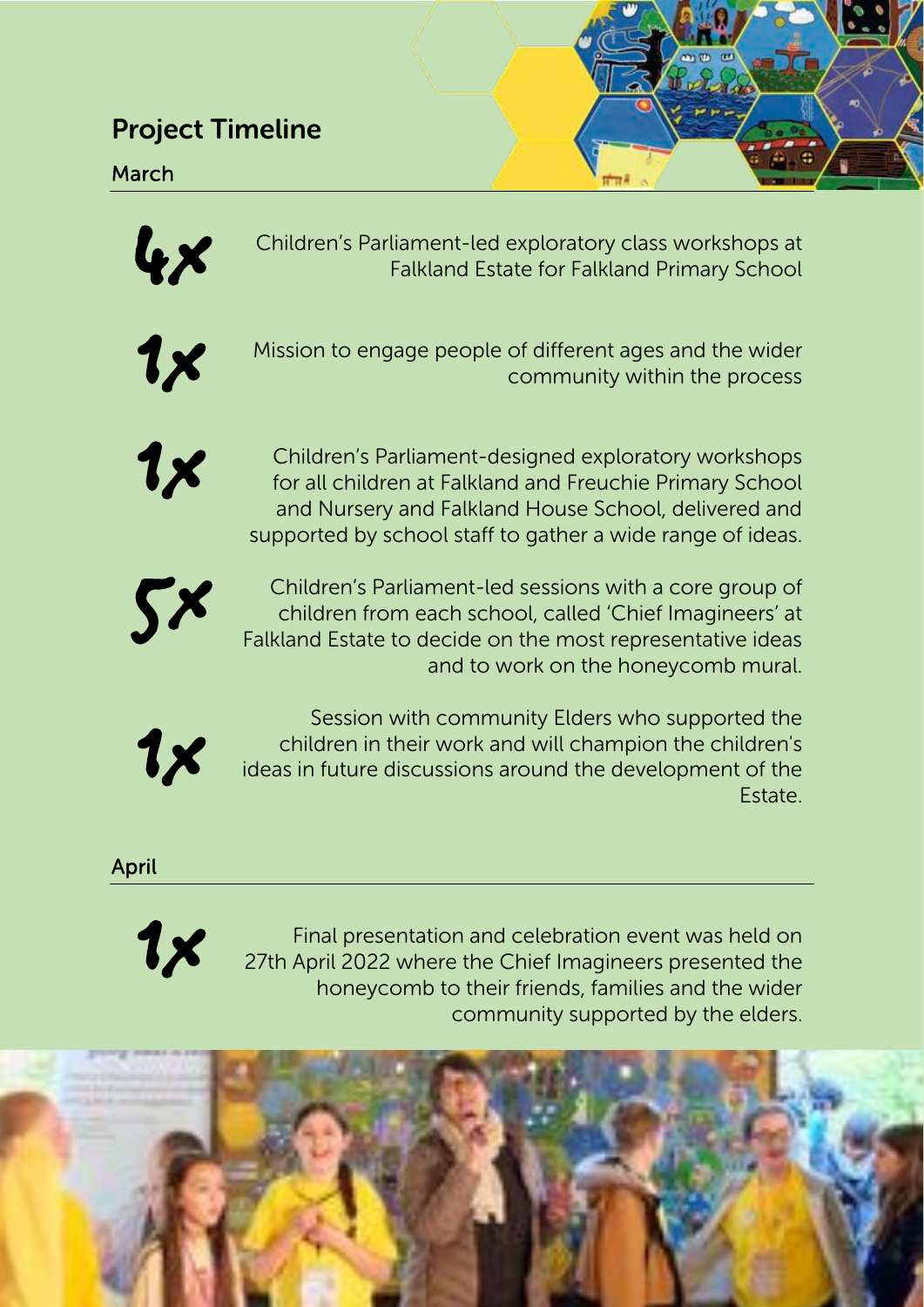#### Project Timeline

March



Falkland Estate for Falkland Primary School



Mission to engage people of different ages and the wider community within the process



Children's Parliament-led exploratory class workshops at<br>Falkland Estate for Falkland Primary School<br>Mission to engage people of different ages and the wider<br>community within the process<br>Children's Parliament-designed expl Children's Parliament-designed exploratory workshops<br>for all children at Falkland and Freuchie Primary School<br>and Nursery and Falkland House School, delivered and<br>supported by school staff to gather a wide range of ideas. for all children at Falkland and Freuchie Primary School and Nursery and Falkland House School, delivered and supported by school staff to gather a wide range of ideas.



5x Children's Parliament-led sessions with a core group of children from each school, called 'Chief Imagineers' at Falkland Estate to decide on the most representative ideas and to work on the honeycomb mural.



Session with community Elders who supported the<br>children in their work and will champion the children's<br>ideas in future discussions around the development of the children in their work and will champion the children's ideas in future discussions around the development of the Estate.

April



Final presentation and celebration event was held on<br>27th April 2022 where the Chief Imagineers presented the<br>boneycomb to their friends, families and the wider 27th April 2022 where the Chief Imagineers presented the honeycomb to their friends, families and the wider community supported by the elders.

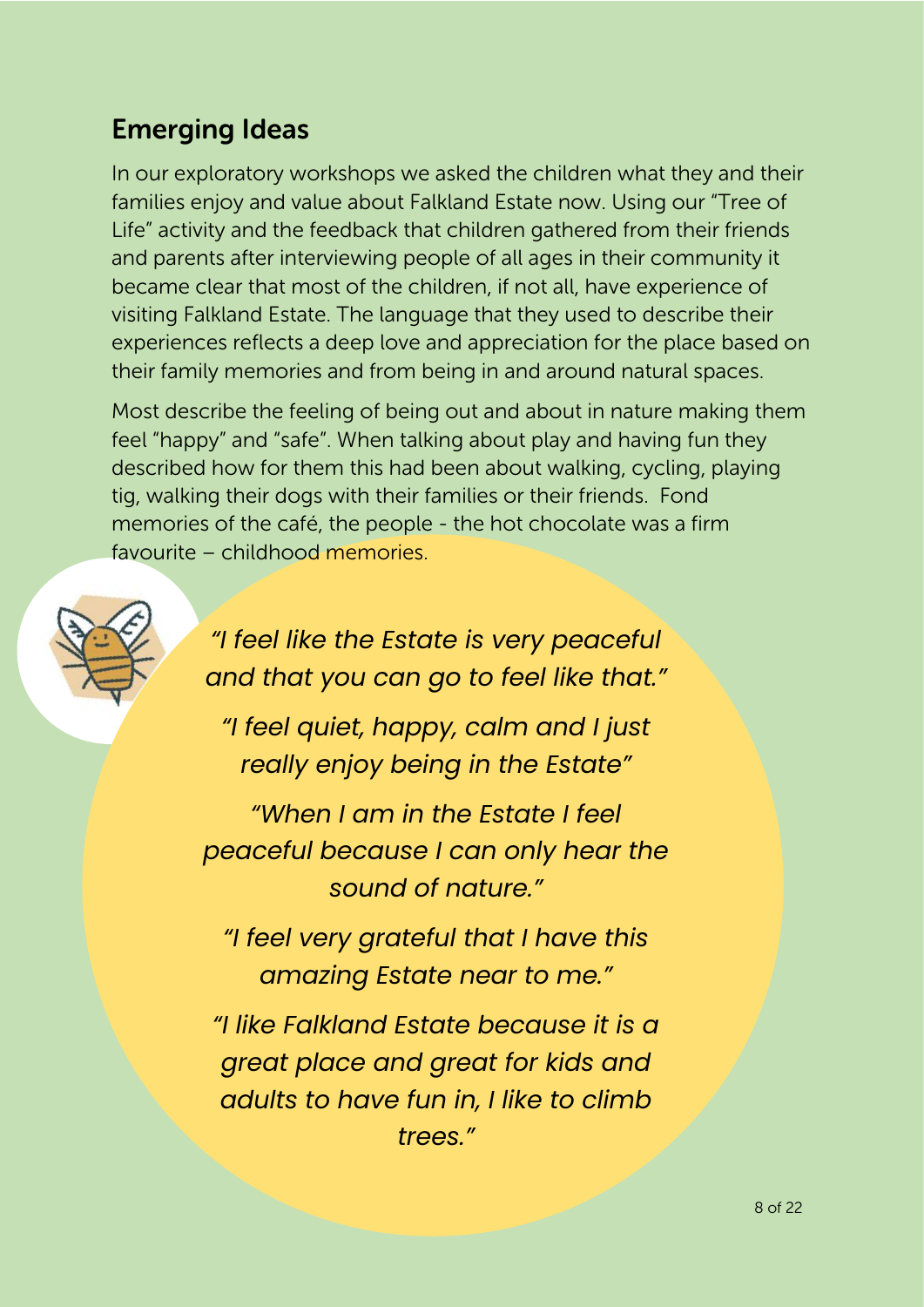### Emerging Ideas

In our exploratory workshops we asked the children what they and their families enjoy and value about Falkland Estate now. Using our "Tree of Life" activity and the feedback that children gathered from their friends and parents after interviewing people of all ages in their community it became clear that most of the children, if not all, have experience of visiting Falkland Estate. The language that they used to describe their experiences reflects a deep love and appreciation for the place based on their family memories and from being in and around natural spaces.

Most describe the feeling of being out and about in nature making them feel "happy" and "safe". When talking about play and having fun they described how for them this had been about walking, cycling, playing tig, walking their dogs with their families or their friends. Fond memories of the café, the people - the hot chocolate was a firm favourite – childhood memories.



*"I feel like the Estate is very peaceful and that you can go to feel like that."*

*"I feel quiet, happy, calm and I just really enjoy being in the Estate"*

*"When I am in the Estate I feel peaceful because I can only hear the sound of nature."*

*"I feel very grateful that I have this amazing Estate near to me."*

*"I like Falkland Estate because it is a great place and great for kids and adults to have fun in, I like to climb trees."*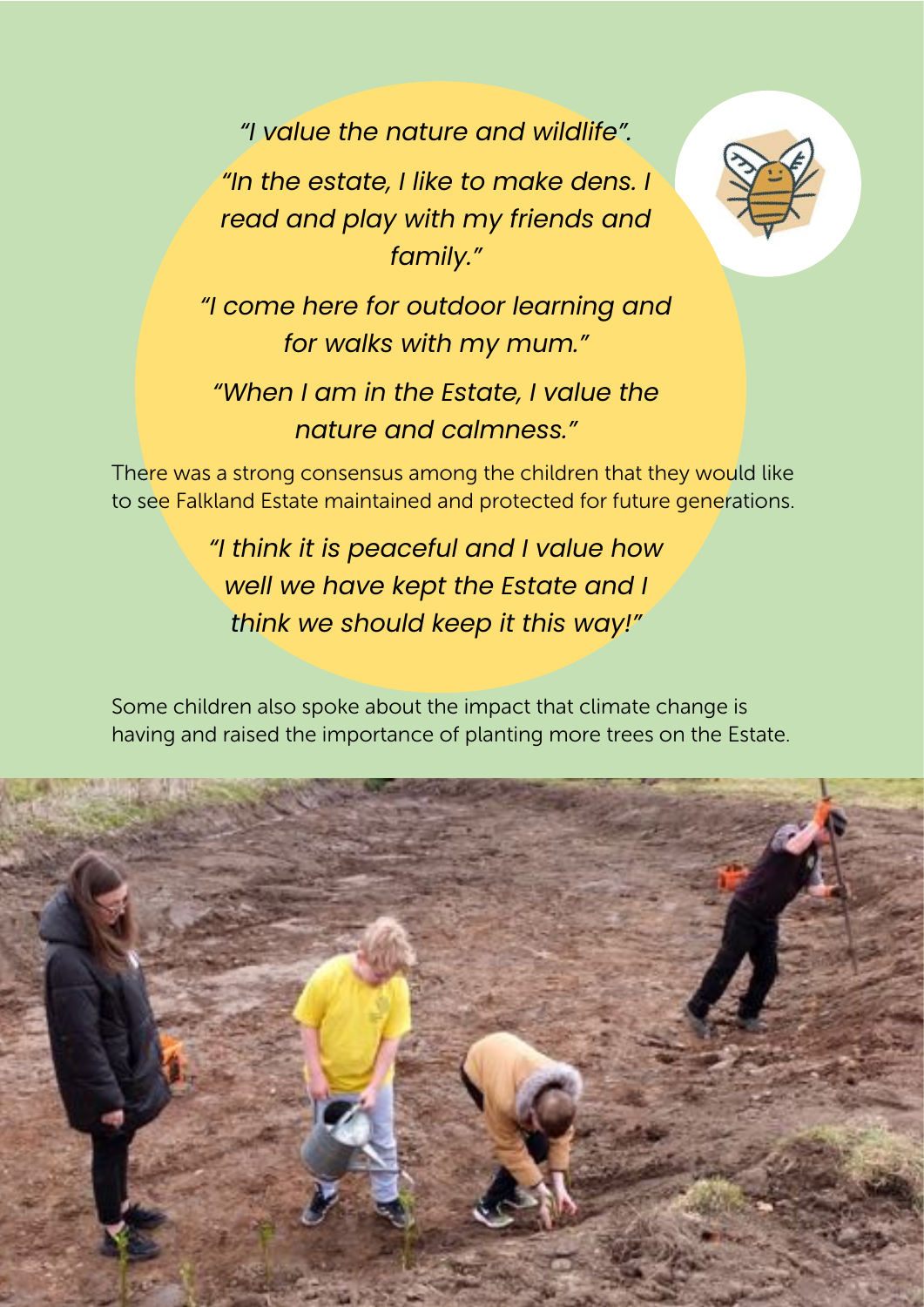*"I value the nature and wildlife".*

*"In the estate, I like to make dens. I read and play with my friends and family."*



*"I come here for outdoor learning and for walks with my mum."*

*"When I am in the Estate, I value the nature and calmness."*

There was a strong consensus among the children that they would like to see Falkland Estate maintained and protected for future generations.

> *"I think it is peaceful and I value how well we have kept the Estate and I think we should keep it this way!"*

Some children also spoke about the impact that climate change is having and raised the importance of planting more trees on the Estate.

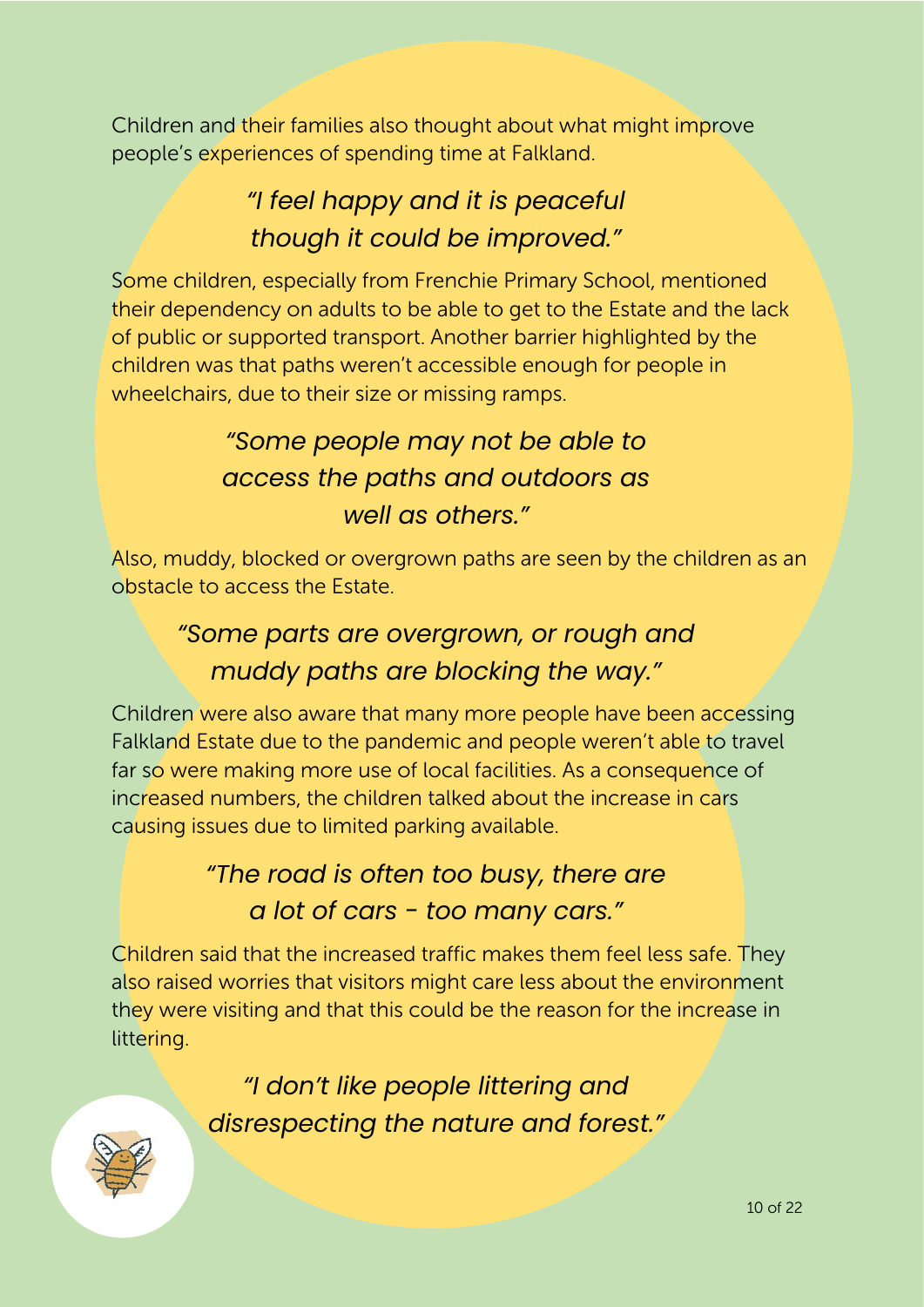Children and their families also thought about what might improve people's experiences of spending time at Falkland.

# *"I feel happy and it is peaceful though it could be improved."*

Some children, especially from Frenchie Primary School, mentioned their dependency on adults to be able to get to the Estate and the lack of public or supported transport. Another barrier highlighted by the children was that paths weren't accessible enough for people in wheelchairs, due to their size or missing ramps.

# *"Some people may not be able to access the paths and outdoors as well as others."*

Also, muddy, blocked or overgrown paths are seen by the children as an obstacle to access the Estate.

# *"Some parts are overgrown, or rough and muddy paths are blocking the way."*

Children were also aware that many more people have been accessing Falkland Estate due to the pandemic and people weren't able to travel far so were making more use of local facilities. As a consequence of increased numbers, the children talked about the increase in cars causing issues due to limited parking available.

# *"The road is often too busy, there are a lot of cars - too many cars."*

Children said that the increased traffic makes them feel less safe. They also raised worries that visitors might care less about the environment they were visiting and that this could be the reason for the increase in littering.

> *"I don't like people littering and disrespecting the nature and forest."*

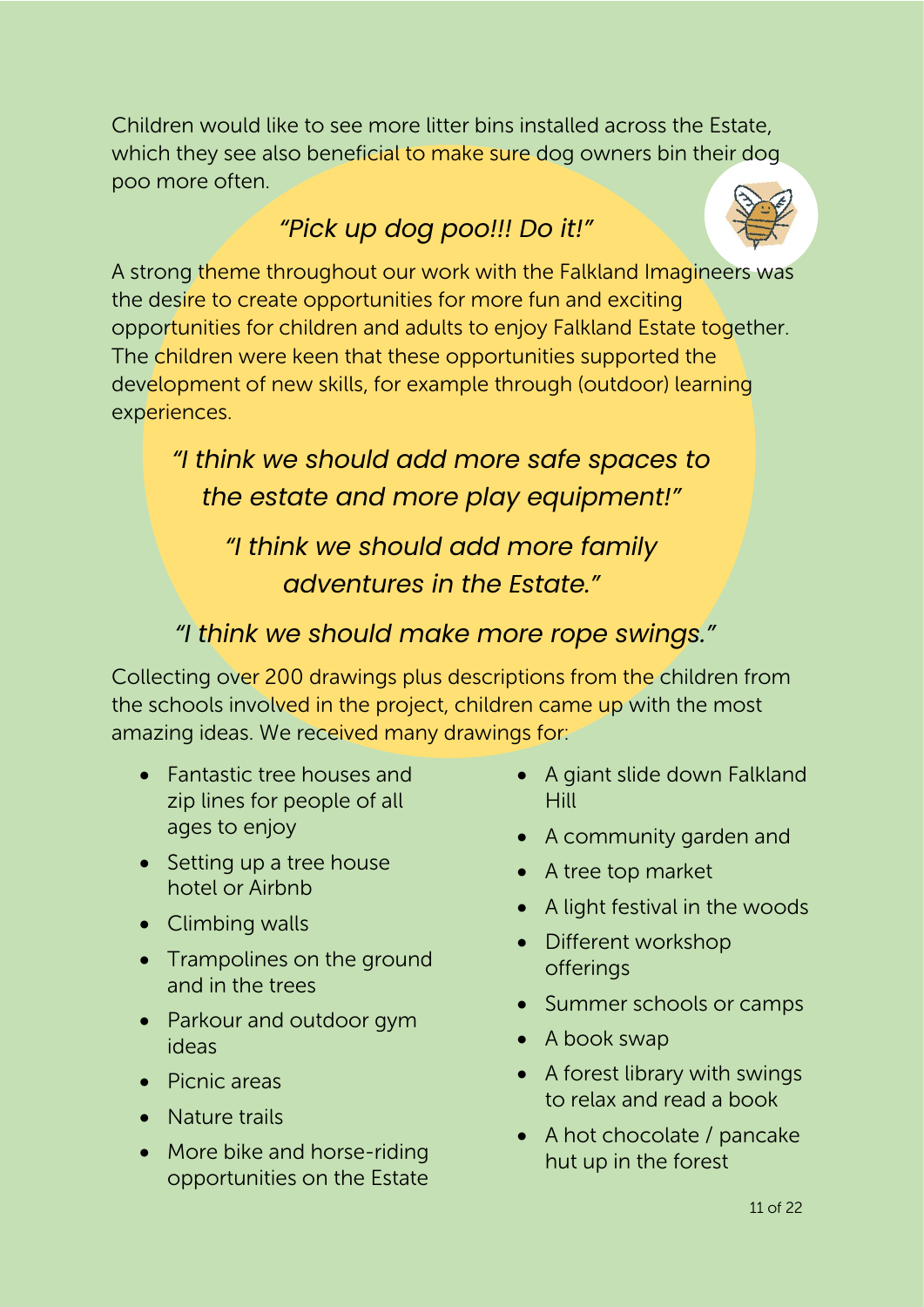Children would like to see more litter bins installed across the Estate, which they see also beneficial to make sure dog owners bin their dog poo more often.

### *"Pick up dog poo!!! Do it!"*



A strong theme throughout our work with the Falkland Imagineers was the desire to create opportunities for more fun and exciting opportunities for children and adults to enjoy Falkland Estate together. The children were keen that these opportunities supported the development of new skills, for example through (outdoor) learning experiences.

*"I think we should add more safe spaces to the estate and more play equipment!"* 

*"I think we should add more family adventures in the Estate."* 

#### *"I think we should make more rope swings."*

Collecting over 200 drawings plus descriptions from the children from the schools involved in the project, children came up with the most amazing ideas. We received many drawings for:

- Fantastic tree houses and zip lines for people of all ages to enjoy
- Setting up a tree house hotel or Airbnb
- Climbing walls
- Trampolines on the ground and in the trees
- Parkour and outdoor gym ideas
- Picnic areas
- Nature trails
- More bike and horse-riding opportunities on the Estate
- A giant slide down Falkland **Hill**
- A community garden and
- A tree top market
- A light festival in the woods
- Different workshop offerings
- Summer schools or camps
- A book swap
- A forest library with swings to relax and read a book
- A hot chocolate / pancake hut up in the forest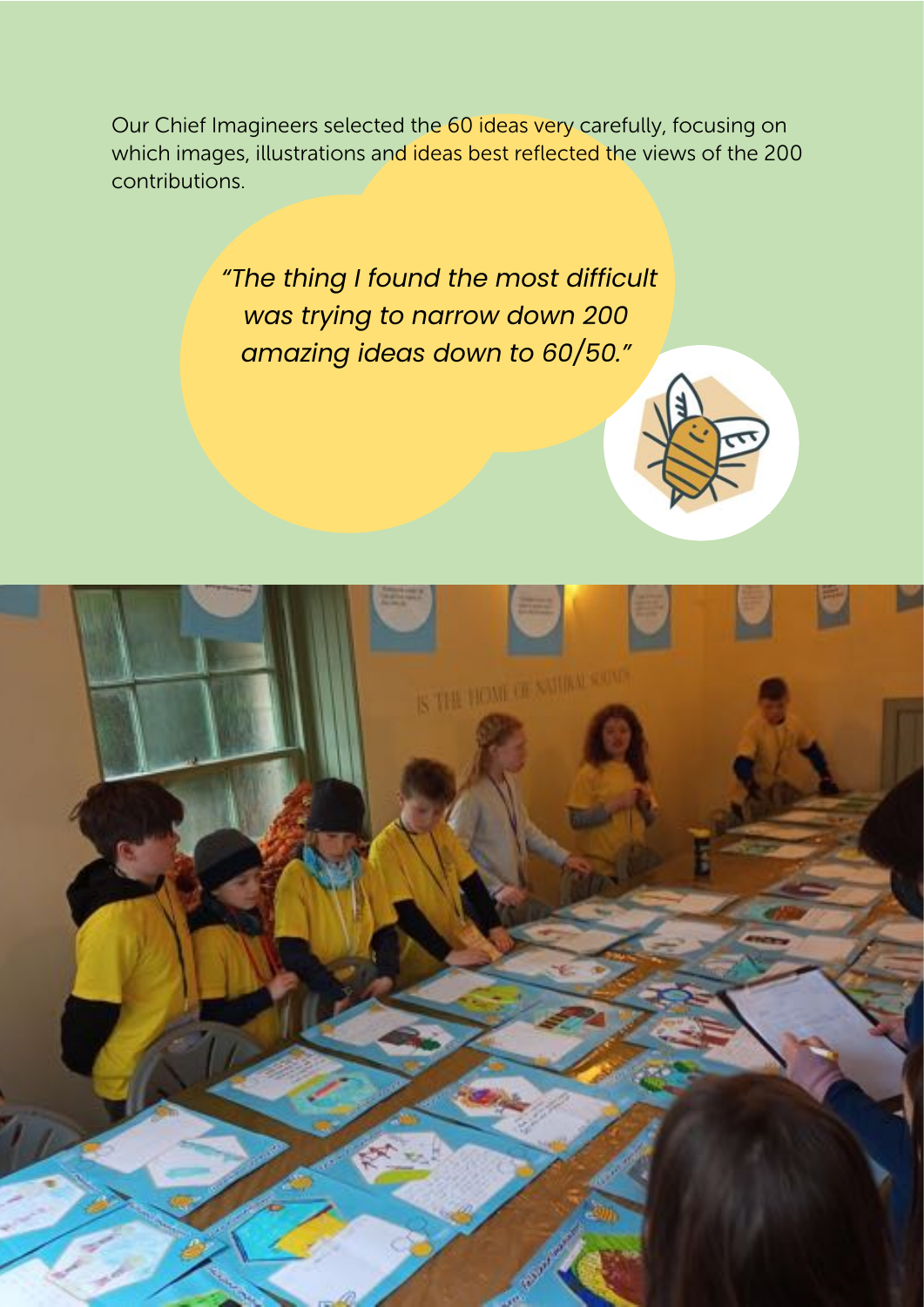Our Chief Imagineers selected the 60 ideas very carefully, focusing on which images, illustrations and ideas best reflected the views of the 200 contributions.

> *"The thing I found the most difficult was trying to narrow down 200 amazing ideas down to 60/50."*

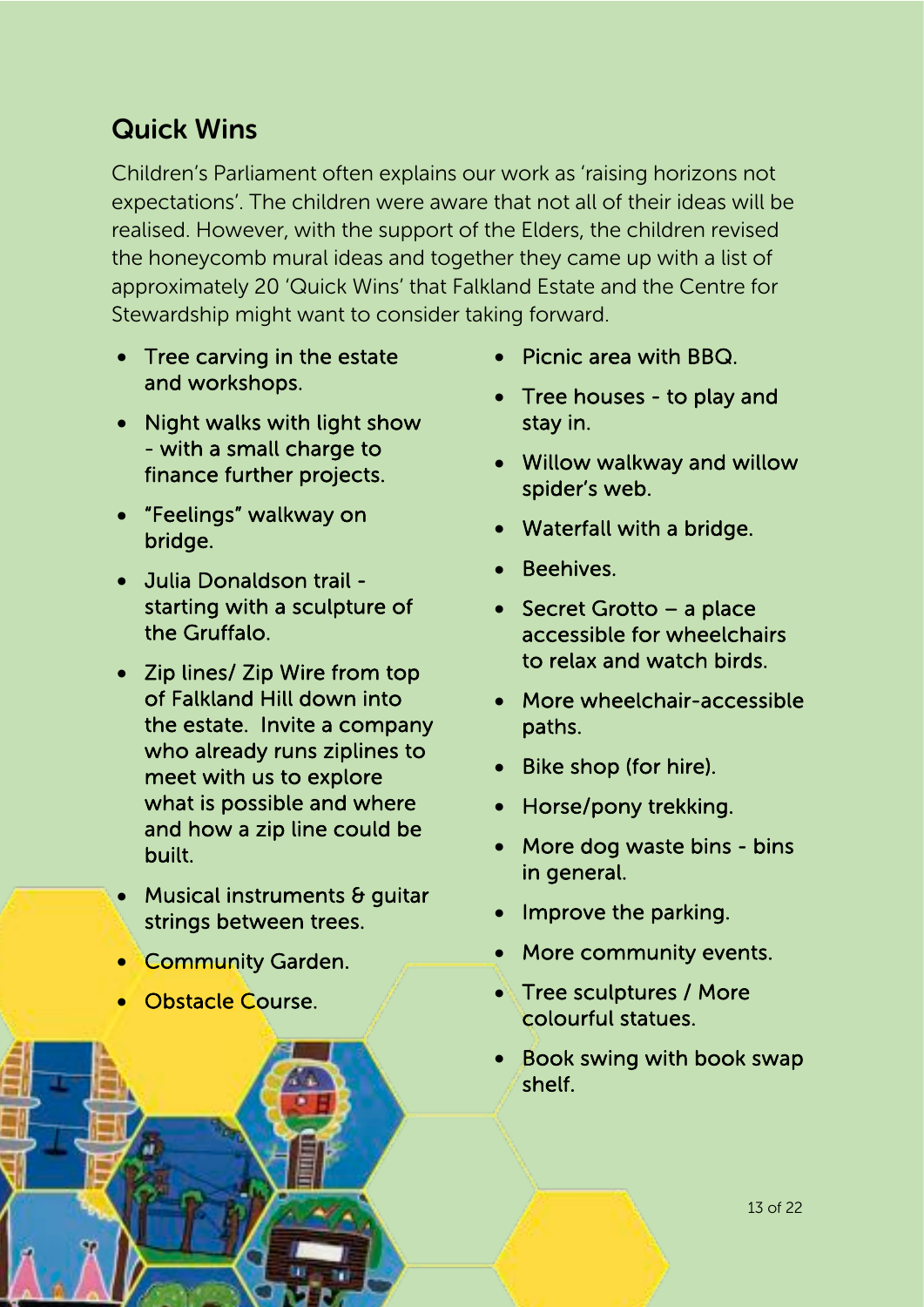### Quick Wins

Children's Parliament often explains our work as 'raising horizons not expectations'. The children were aware that not all of their ideas will be realised. However, with the support of the Elders, the children revised the honeycomb mural ideas and together they came up with a list of approximately 20 'Quick Wins' that Falkland Estate and the Centre for Stewardship might want to consider taking forward.

- Tree carving in the estate and workshops.
- Night walks with light show - with a small charge to finance further projects.
- "Feelings" walkway on bridge.
- Julia Donaldson trail starting with a sculpture of the Gruffalo.
- Zip lines/ Zip Wire from top of Falkland Hill down into the estate. Invite a company who already runs ziplines to meet with us to explore what is possible and where and how a zip line could be built.
- Musical instruments & quitar strings between trees.
- **Community Garden.**
- Obstacle Course.

ì

- Picnic area with BBQ.
- Tree houses to play and stay in.
- Willow walkway and willow spider's web.
- Waterfall with a bridge.
- Beehives.
- Secret Grotto a place accessible for wheelchairs to relax and watch birds.
- More wheelchair-accessible paths.
- Bike shop (for hire).
- Horse/pony trekking.
- More dog waste bins bins in general.
- Improve the parking.
- More community events.
- Tree sculptures / More colourful statues.
- Book swing with book swap shelf.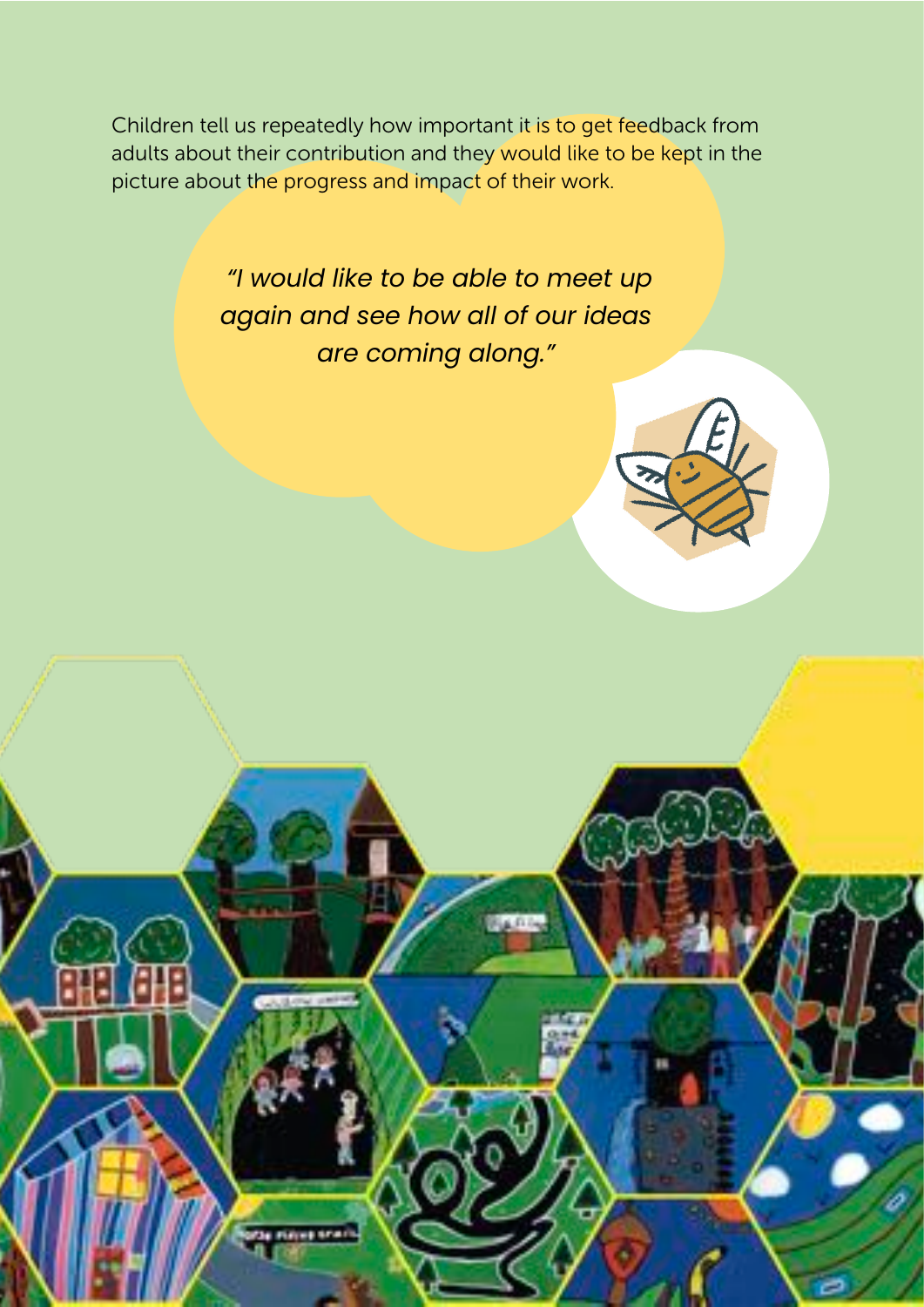Children tell us repeatedly how important it is to get feedback from adults about their contribution and they would like to be kept in the picture about the progress and impact of their work.

> *"I would like to be able to meet up again and see how all of our ideas are coming along."*

> > a di I



14 of 22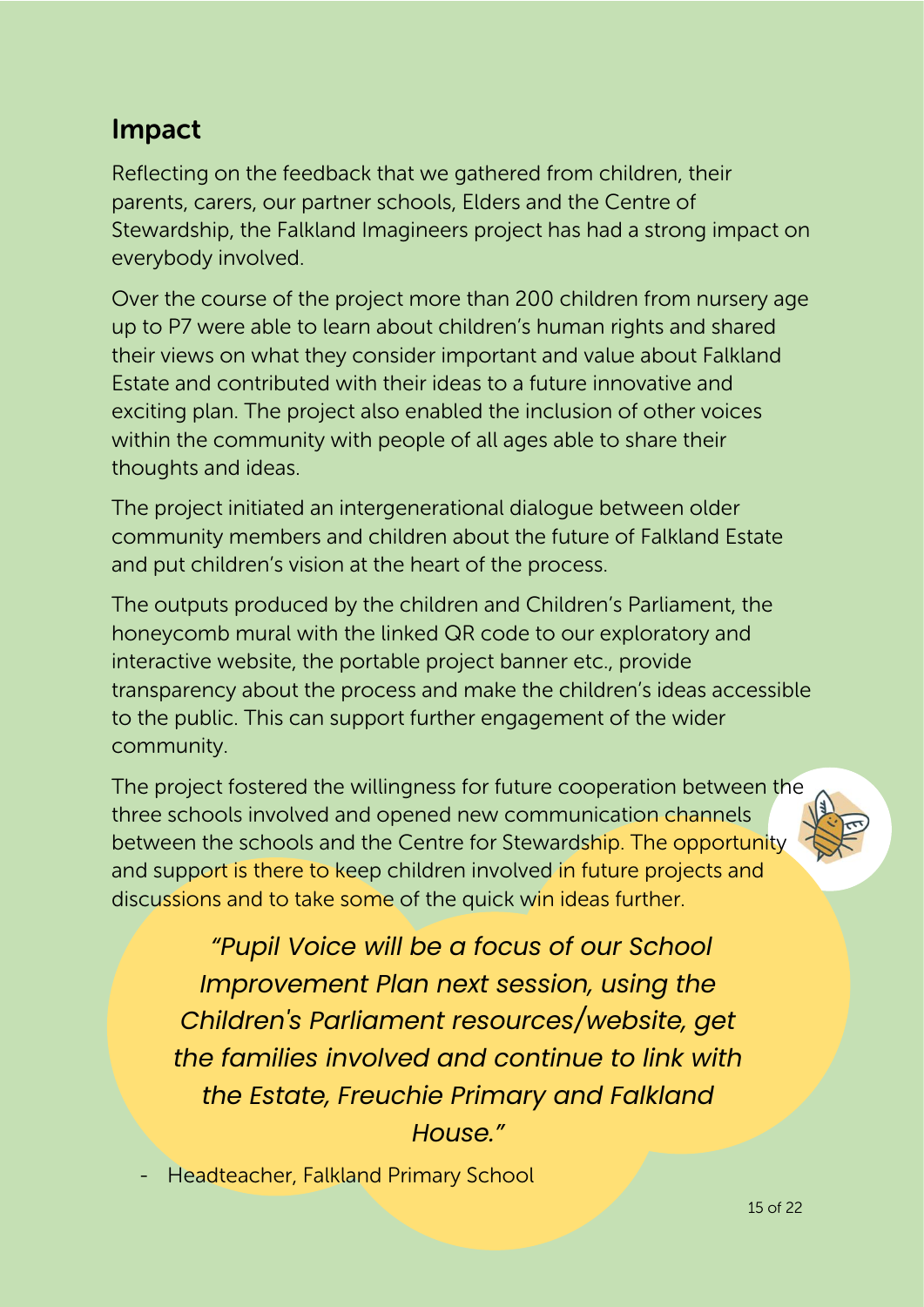### Impact

Reflecting on the feedback that we gathered from children, their parents, carers, our partner schools, Elders and the Centre of Stewardship, the Falkland Imagineers project has had a strong impact on everybody involved.

Over the course of the project more than 200 children from nursery age up to P7 were able to learn about children's human rights and shared their views on what they consider important and value about Falkland Estate and contributed with their ideas to a future innovative and exciting plan. The project also enabled the inclusion of other voices within the community with people of all ages able to share their thoughts and ideas.

The project initiated an intergenerational dialogue between older community members and children about the future of Falkland Estate and put children's vision at the heart of the process.

The outputs produced by the children and Children's Parliament, the honeycomb mural with the linked QR code to our exploratory and interactive website, the portable project banner etc., provide transparency about the process and make the children's ideas accessible to the public. This can support further engagement of the wider community.

The project fostered the willingness for future cooperation between the three schools involved and opened new communication channels between the schools and the Centre for Stewardship. The opportunity and support is there to keep children involved in future projects and discussions and to take some of the quick win ideas further.

*"Pupil Voice will be a focus of our School Improvement Plan next session, using the Children's Parliament resources/website, get the families involved and continue to link with the Estate, Freuchie Primary and Falkland House."*

- Headteacher, Falkland Primary School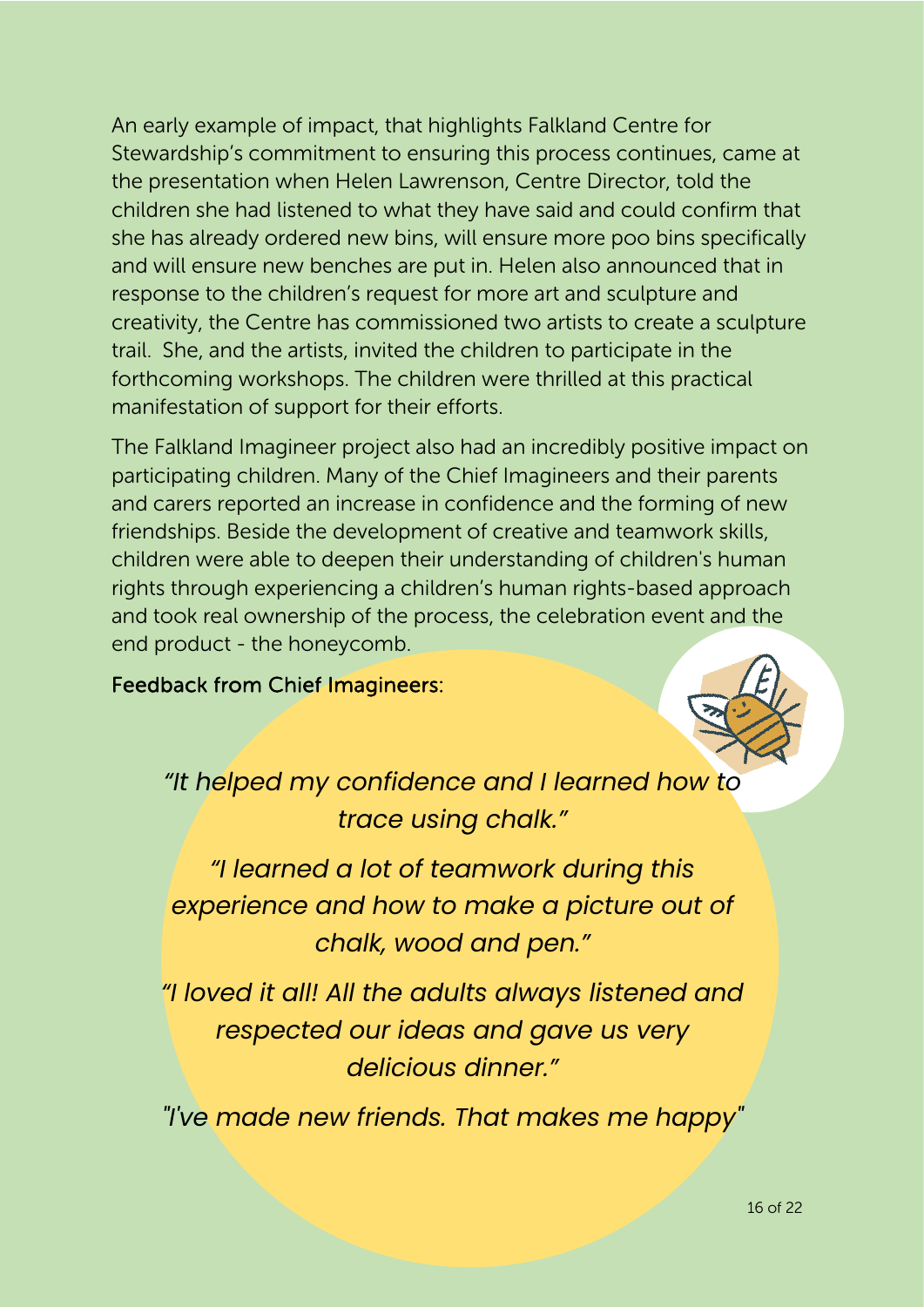An early example of impact, that highlights Falkland Centre for Stewardship's commitment to ensuring this process continues, came at the presentation when Helen Lawrenson, Centre Director, told the children she had listened to what they have said and could confirm that she has already ordered new bins, will ensure more poo bins specifically and will ensure new benches are put in. Helen also announced that in response to the children's request for more art and sculpture and creativity, the Centre has commissioned two artists to create a sculpture trail. She, and the artists, invited the children to participate in the forthcoming workshops. The children were thrilled at this practical manifestation of support for their efforts.

The Falkland Imagineer project also had an incredibly positive impact on participating children. Many of the Chief Imagineers and their parents and carers reported an increase in confidence and the forming of new friendships. Beside the development of creative and teamwork skills, children were able to deepen their understanding of children's human rights through experiencing a children's human rights-based approach and took real ownership of the process, the celebration event and the end product - the honeycomb.

#### Feedback from Chief Imagineers:



*"It helped my confidence and I learned how to trace using chalk."* 

*"I learned a lot of teamwork during this experience and how to make a picture out of chalk, wood and pen."* 

*"I loved it all! All the adults always listened and respected our ideas and gave us very delicious dinner."* 

*"I've made new friends. That makes me happy"*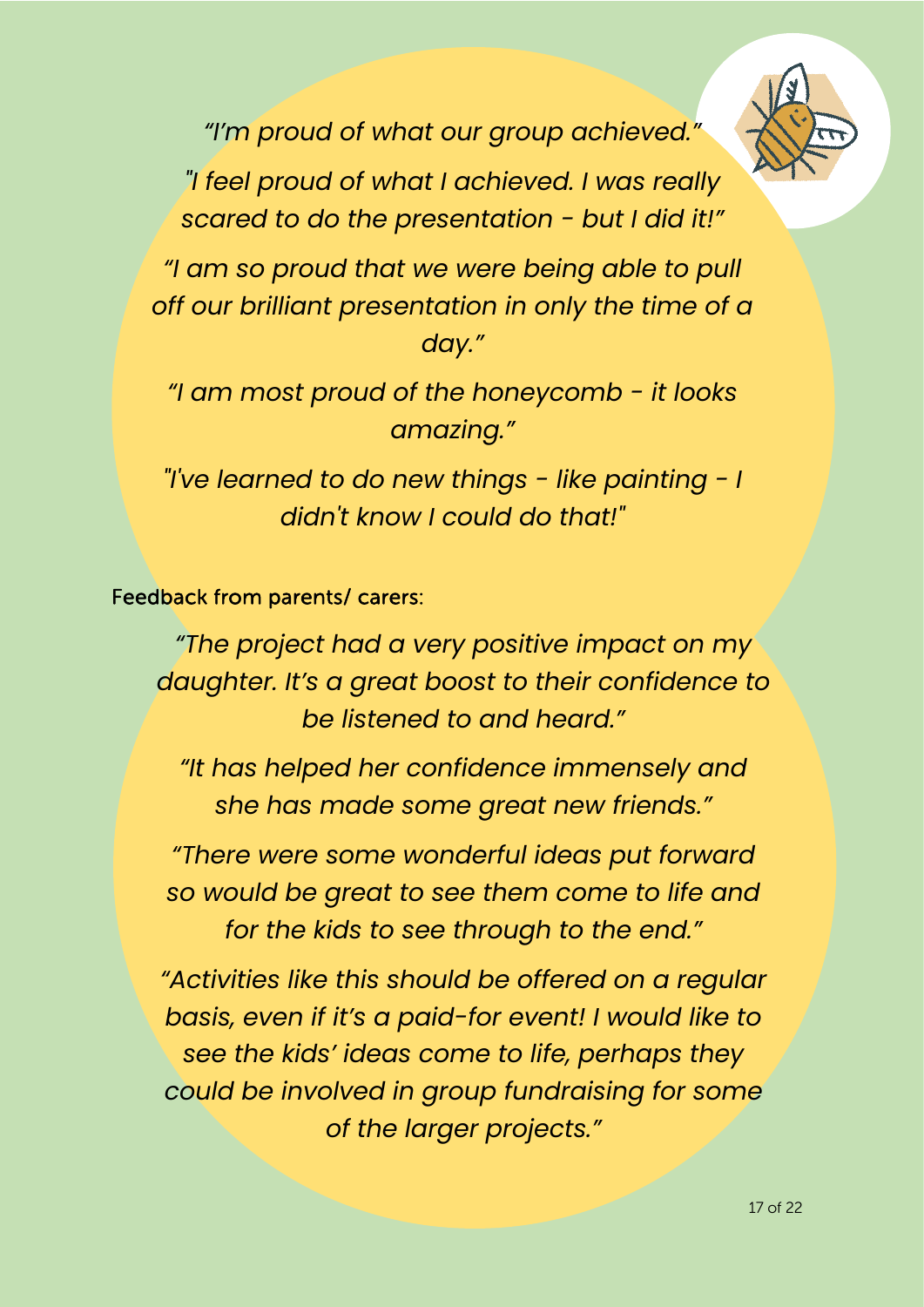

*"I'm proud of what our group achieved."* 

*"I feel proud of what I achieved. I was really scared to do the presentation - but I did it!"* 

*"I am so proud that we were being able to pull off our brilliant presentation in only the time of a day."* 

*"I am most proud of the honeycomb - it looks amazing."* 

*"I've learned to do new things - like painting - I didn't know I could do that!"*

Feedback from parents/ carers:

*"The project had a very positive impact on my daughter. It's a great boost to their confidence to be listened to and heard."* 

*"It has helped her confidence immensely and she has made some great new friends."*

*"There were some wonderful ideas put forward so would be great to see them come to life and for the kids to see through to the end."* 

*"Activities like this should be offered on a regular basis, even if it's a paid-for event! I would like to see the kids' ideas come to life, perhaps they could be involved in group fundraising for some of the larger projects."*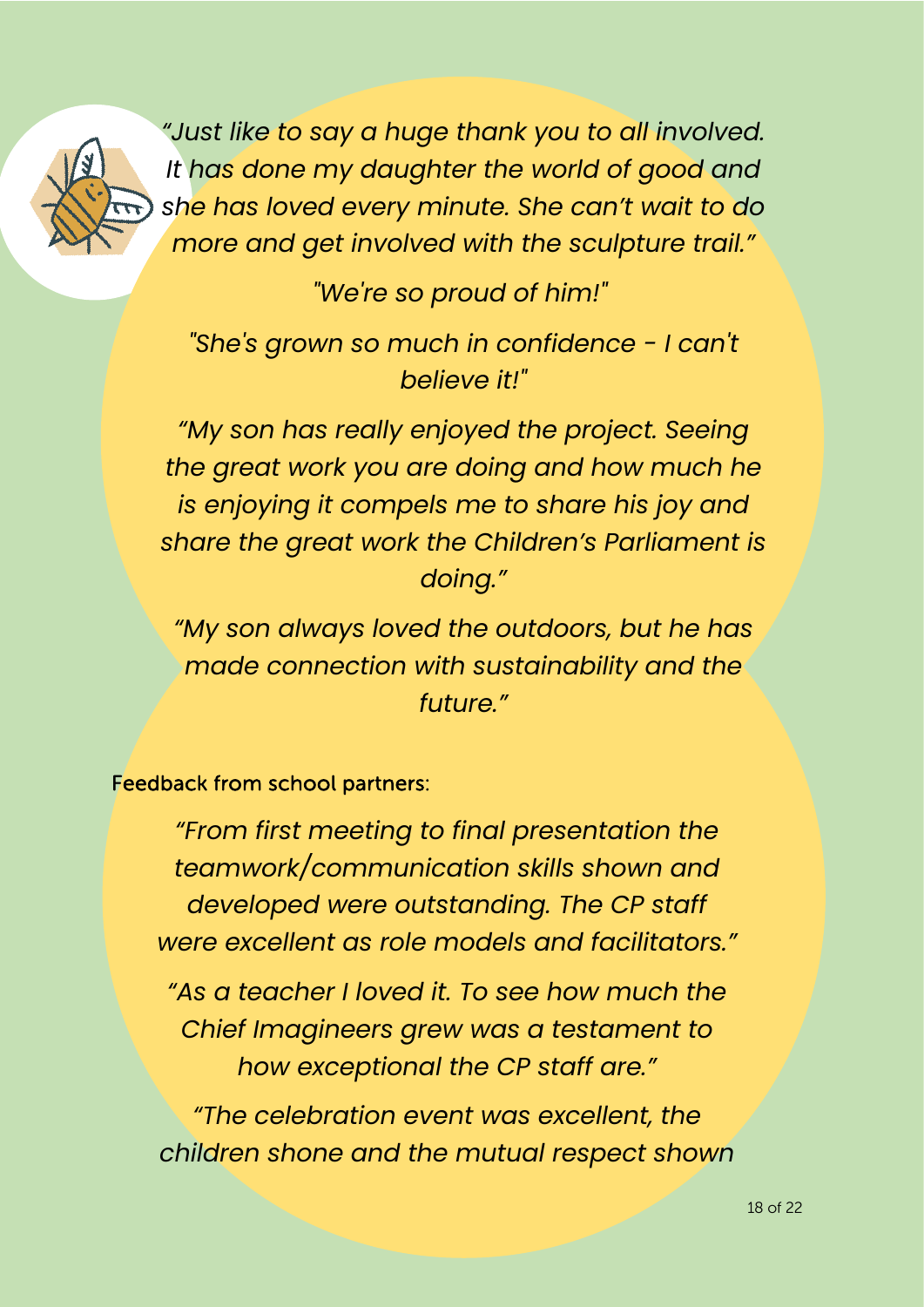

*"Just like to say a huge thank you to all involved. It has done my daughter the world of good and she has loved every minute. She can't wait to do more and get involved with the sculpture trail."* 

*"We're so proud of him!"*

*"She's grown so much in confidence - I can't believe it!"* 

*"My son has really enjoyed the project. Seeing the great work you are doing and how much he is enjoying it compels me to share his joy and share the great work the Children's Parliament is doing."*

*"My son always loved the outdoors, but he has made connection with sustainability and the future."*

#### Feedback from school partners:

*"From first meeting to final presentation the teamwork/communication skills shown and developed were outstanding. The CP staff were excellent as role models and facilitators."* 

*"As a teacher I loved it. To see how much the Chief Imagineers grew was a testament to how exceptional the CP staff are."* 

*"The celebration event was excellent, the children shone and the mutual respect shown*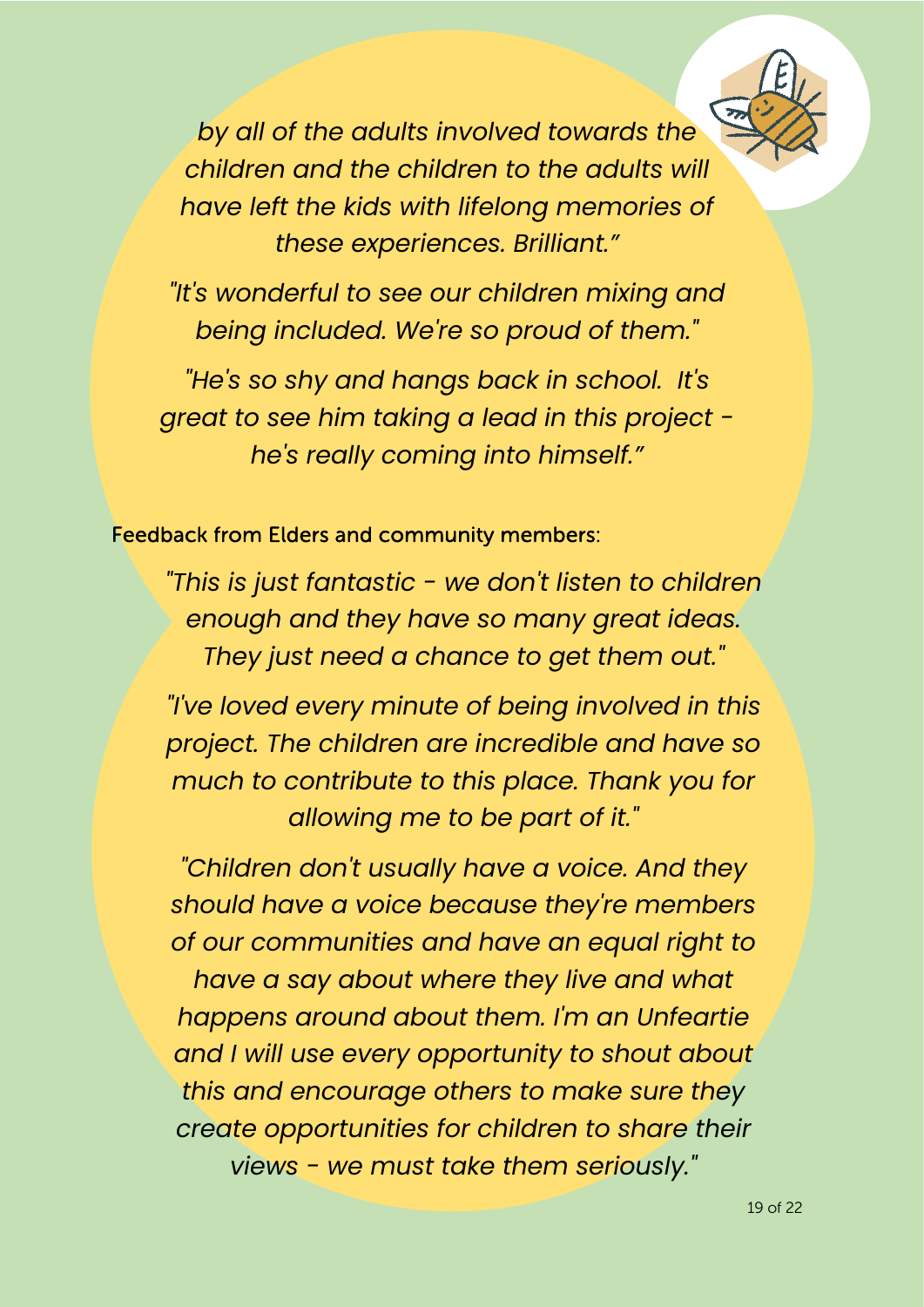*by all of the adults involved towards the children and the children to the adults will have left the kids with lifelong memories of these experiences. Brilliant."*

*"It's wonderful to see our children mixing and being included. We're so proud of them."*

*"He's so shy and hangs back in school. It's great to see him taking a lead in this project he's really coming into himself."*

#### Feedback from Elders and community members:

*"This is just fantastic - we don't listen to children enough and they have so many great ideas. They just need a chance to get them out."*

*"I've loved every minute of being involved in this project. The children are incredible and have so much to contribute to this place. Thank you for allowing me to be part of it."*

*"Children don't usually have a voice. And they should have a voice because they're members of our communities and have an equal right to have a say about where they live and what happens around about them. I'm an Unfeartie and I will use every opportunity to shout about this and encourage others to make sure they create opportunities for children to share their views - we must take them seriously."*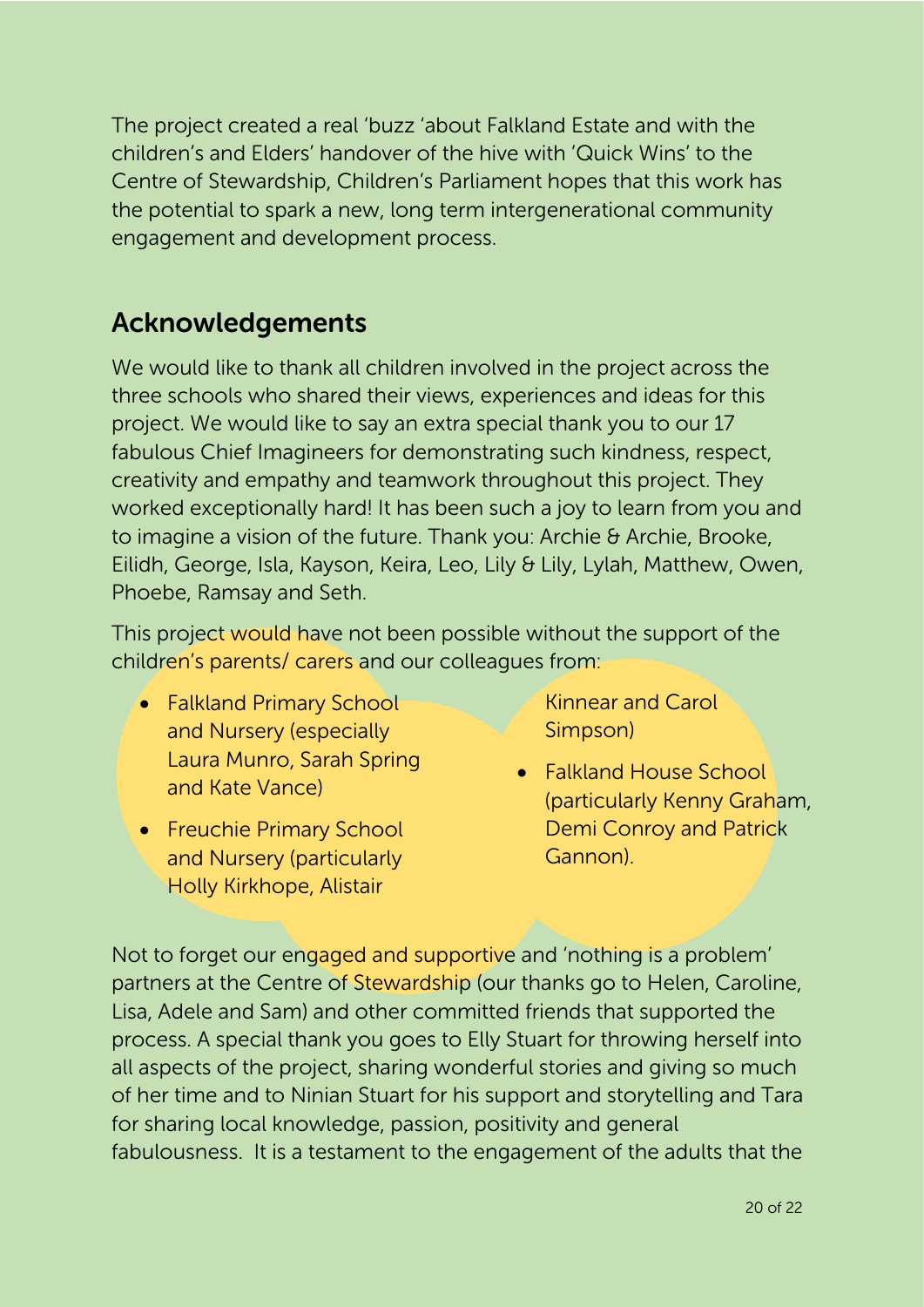The project created a real 'buzz 'about Falkland Estate and with the children's and Elders' handover of the hive with 'Quick Wins' to the Centre of Stewardship, Children's Parliament hopes that this work has the potential to spark a new, long term intergenerational community engagement and development process.

# Acknowledgements

We would like to thank all children involved in the project across the three schools who shared their views, experiences and ideas for this project. We would like to say an extra special thank you to our 17 fabulous Chief Imagineers for demonstrating such kindness, respect, creativity and empathy and teamwork throughout this project. They worked exceptionally hard! It has been such a joy to learn from you and to imagine a vision of the future. Thank you: Archie & Archie, Brooke, Eilidh, George, Isla, Kayson, Keira, Leo, Lily & Lily, Lylah, Matthew, Owen, Phoebe, Ramsay and Seth.

This project would have not been possible without the support of the children's parents/ carers and our colleagues from:

- Falkland Primary School and Nursery (especially Laura Munro, Sarah Spring and Kate Vance)
- Freuchie Primary School and Nursery (particularly Holly Kirkhope, Alistair

Kinnear and Carol Simpson)

• Falkland House School (particularly Kenny Graham, Demi Conroy and Patrick Gannon).

Not to forget our engaged and supportive and 'nothing is a problem' partners at the Centre of Stewardship (our thanks go to Helen, Caroline, Lisa, Adele and Sam) and other committed friends that supported the process. A special thank you goes to Elly Stuart for throwing herself into all aspects of the project, sharing wonderful stories and giving so much of her time and to Ninian Stuart for his support and storytelling and Tara for sharing local knowledge, passion, positivity and general fabulousness. It is a testament to the engagement of the adults that the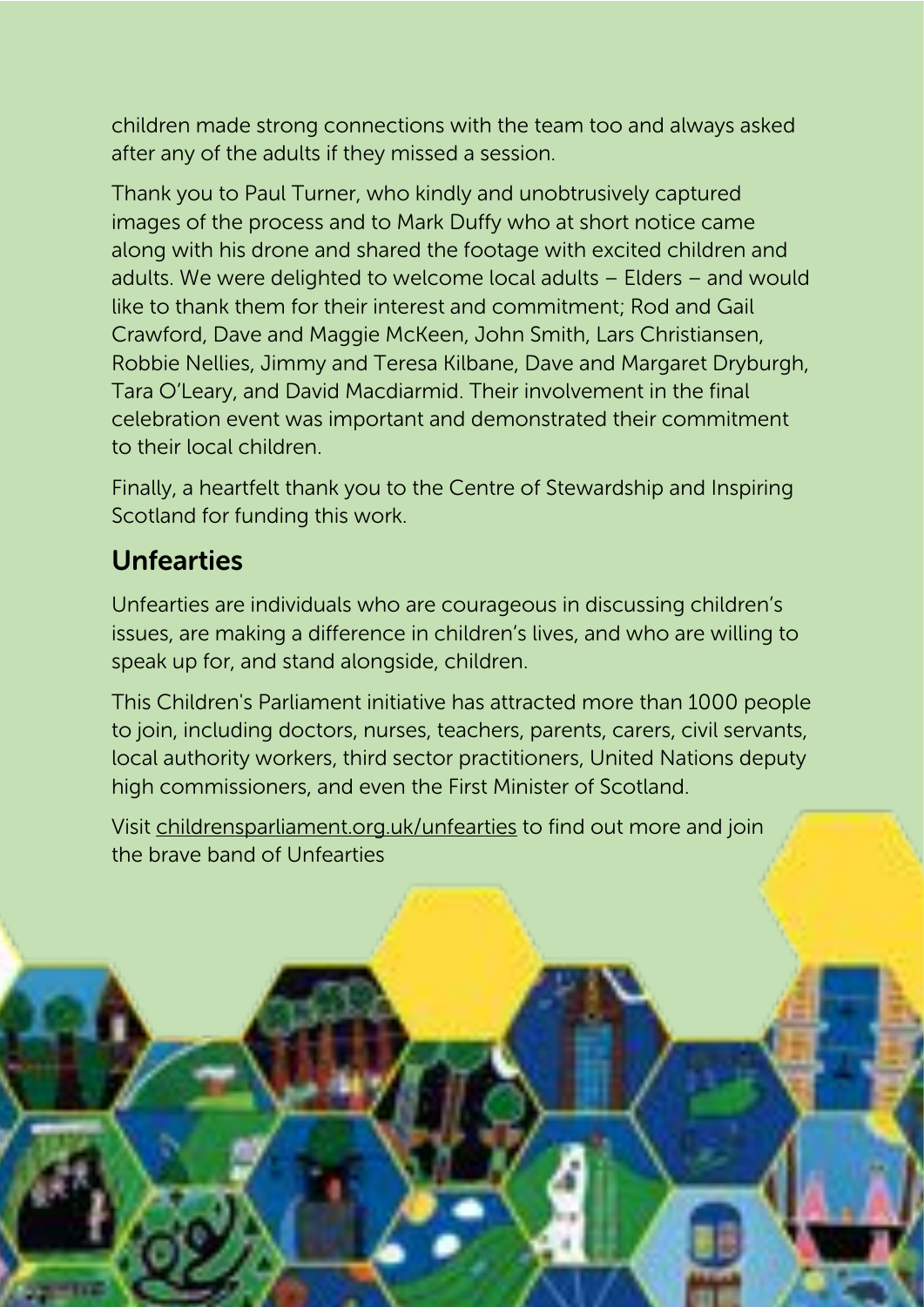children made strong connections with the team too and always asked after any of the adults if they missed a session.

Thank you to Paul Turner, who kindly and unobtrusively captured images of the process and to Mark Duffy who at short notice came along with his drone and shared the footage with excited children and adults. We were delighted to welcome local adults – Elders – and would like to thank them for their interest and commitment; Rod and Gail Crawford, Dave and Maggie McKeen, John Smith, Lars Christiansen, Robbie Nellies, Jimmy and Teresa Kilbane, Dave and Margaret Dryburgh, Tara O'Leary, and David Macdiarmid. Their involvement in the final celebration event was important and demonstrated their commitment to their local children.

Finally, a heartfelt thank you to the Centre of Stewardship and Inspiring Scotland for funding this work.

### Unfearties

Unfearties are individuals who are courageous in discussing children's issues, are making a difference in children's lives, and who are willing to speak up for, and stand alongside, children.

This Children's Parliament initiative has attracted more than 1000 people to join, including doctors, nurses, teachers, parents, carers, civil servants, local authority workers, third sector practitioners, United Nations deputy high commissioners, and even the First Minister of Scotland.

21 of 22

ww.childrensparliament.org

Visit childrensparliament.org.uk/unfearties to find out more and join the brave band of Unfearties